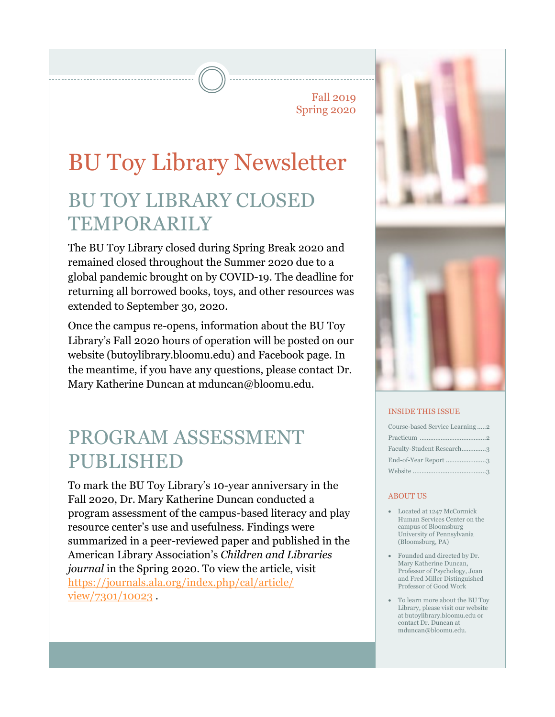Fall 2019 Spring 2020

# BU Toy Library Newsletter BU TOY LIBRARY CLOSED **TEMPORARILY**

The BU Toy Library closed during Spring Break 2020 and remained closed throughout the Summer 2020 due to a global pandemic brought on by COVID-19. The deadline for returning all borrowed books, toys, and other resources was extended to September 30, 2020.

Once the campus re-opens, information about the BU Toy Library's Fall 2020 hours of operation will be posted on our website (butoylibrary.bloomu.edu) and Facebook page. In the meantime, if you have any questions, please contact Dr. Mary Katherine Duncan at mduncan@bloomu.edu.

## PROGRAM ASSESSMENT PUBLISHED

To mark the BU Toy Library's 10-year anniversary in the Fall 2020, Dr. Mary Katherine Duncan conducted a program assessment of the campus-based literacy and play resource center's use and usefulness. Findings were summarized in a peer-reviewed paper and published in the American Library Association's *Children and Libraries journal* in the Spring 2020. To view the article, visit [https://journals.ala.org/index.php/cal/article/](https://journals.ala.org/index.php/cal/article/view/7301/10023) [view/7301/10023](https://journals.ala.org/index.php/cal/article/view/7301/10023) .



#### INSIDE THIS ISSUE

| Course-based Service Learning 2 |
|---------------------------------|
|                                 |
| Faculty-Student Research3       |
| End-of-Year Report 3            |
|                                 |

#### **ABOUT US**

- Located at 1247 McCormick Human Services Center on the campus of Bloomsburg University of Pennsylvania (Bloomsburg, PA)
- Founded and directed by Dr. Mary Katherine Duncan, Professor of Psychology, Joan and Fred Miller Distinguished Professor of Good Work
- To learn more about the BU Toy Library, please visit our website at butoylibrary.bloomu.edu or contact Dr. Duncan at mduncan@bloomu.edu.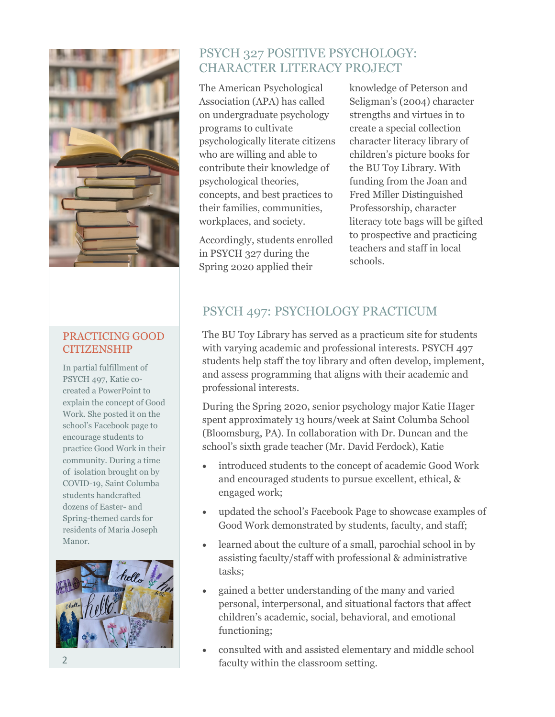

#### PRACTICING GOOD CITIZENSHIP

In partial fulfillment of PSYCH 497, Katie cocreated a PowerPoint to explain the concept of Good Work. She posted it on the school's Facebook page to encourage students to practice Good Work in their community. During a time of isolation brought on by COVID-19, Saint Columba students handcrafted dozens of Easter- and Spring-themed cards for residents of Maria Joseph Manor.



## PSYCH 327 POSITIVE PSYCHOLOGY: CHARACTER LITERACY PROJECT

The American Psychological Association (APA) has called on undergraduate psychology programs to cultivate psychologically literate citizens who are willing and able to contribute their knowledge of psychological theories, concepts, and best practices to their families, communities, workplaces, and society.

Accordingly, students enrolled in PSYCH 327 during the Spring 2020 applied their

knowledge of Peterson and Seligman's (2004) character strengths and virtues in to create a special collection character literacy library of children's picture books for the BU Toy Library. With funding from the Joan and Fred Miller Distinguished Professorship, character literacy tote bags will be gifted to prospective and practicing teachers and staff in local schools.

## PSYCH 497: PSYCHOLOGY PRACTICUM

The BU Toy Library has served as a practicum site for students with varying academic and professional interests. PSYCH 497 students help staff the toy library and often develop, implement, and assess programming that aligns with their academic and professional interests.

During the Spring 2020, senior psychology major Katie Hager spent approximately 13 hours/week at Saint Columba School (Bloomsburg, PA). In collaboration with Dr. Duncan and the school's sixth grade teacher (Mr. David Ferdock), Katie

- introduced students to the concept of academic Good Work and encouraged students to pursue excellent, ethical, & engaged work;
- updated the school's Facebook Page to showcase examples of Good Work demonstrated by students, faculty, and staff;
- learned about the culture of a small, parochial school in by assisting faculty/staff with professional & administrative tasks;
- gained a better understanding of the many and varied personal, interpersonal, and situational factors that affect children's academic, social, behavioral, and emotional functioning;
- consulted with and assisted elementary and middle school faculty within the classroom setting.